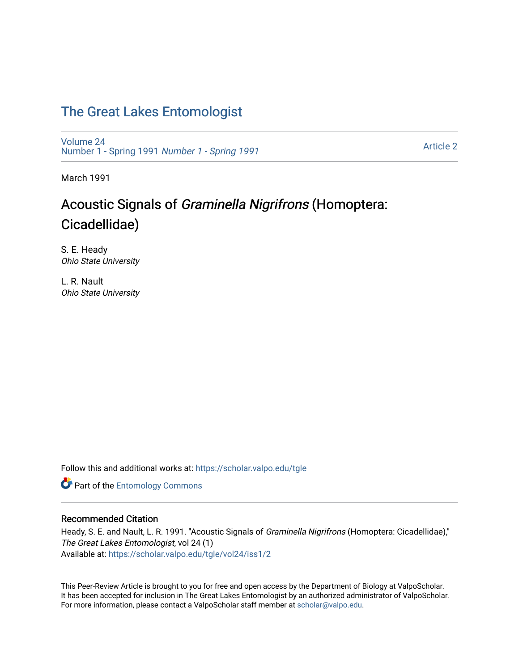## [The Great Lakes Entomologist](https://scholar.valpo.edu/tgle)

[Volume 24](https://scholar.valpo.edu/tgle/vol24) [Number 1 - Spring 1991](https://scholar.valpo.edu/tgle/vol24/iss1) Number 1 - Spring 1991

[Article 2](https://scholar.valpo.edu/tgle/vol24/iss1/2) 

March 1991

# Acoustic Signals of Graminella Nigrifrons (Homoptera: Cicadellidae)

S. E. Heady Ohio State University

L. R. Nault Ohio State University

Follow this and additional works at: [https://scholar.valpo.edu/tgle](https://scholar.valpo.edu/tgle?utm_source=scholar.valpo.edu%2Ftgle%2Fvol24%2Fiss1%2F2&utm_medium=PDF&utm_campaign=PDFCoverPages) 

**Part of the Entomology Commons** 

## Recommended Citation

Heady, S. E. and Nault, L. R. 1991. "Acoustic Signals of *Graminella Nigrifrons* (Homoptera: Cicadellidae)," The Great Lakes Entomologist, vol 24 (1) Available at: [https://scholar.valpo.edu/tgle/vol24/iss1/2](https://scholar.valpo.edu/tgle/vol24/iss1/2?utm_source=scholar.valpo.edu%2Ftgle%2Fvol24%2Fiss1%2F2&utm_medium=PDF&utm_campaign=PDFCoverPages) 

This Peer-Review Article is brought to you for free and open access by the Department of Biology at ValpoScholar. It has been accepted for inclusion in The Great Lakes Entomologist by an authorized administrator of ValpoScholar. For more information, please contact a ValpoScholar staff member at [scholar@valpo.edu](mailto:scholar@valpo.edu).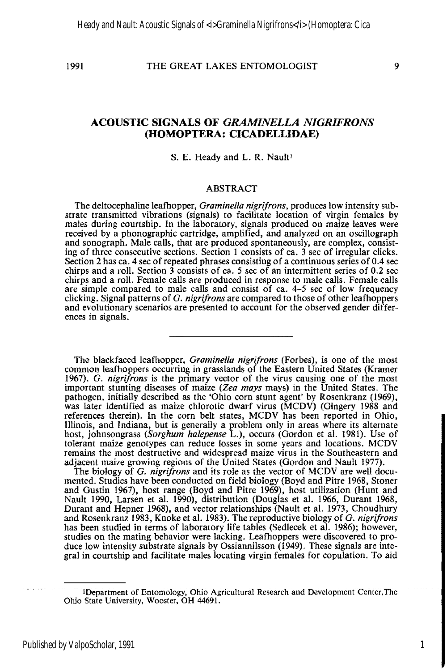### 1991 THE GREAT LAKES ENTOMOLOGIST 9

## **ACOUSTIC SIGNALS OF** *GRAM/NELLA NIGRIFRONS*  **(HOMOPTERA: CICADELLIDAE)**

#### S. E. Heady and L. R. Nault<sup>1</sup>

#### ABSTRACT

The deltocephaline leafhopper, *Graminella nigrifrons,* produces low intensity substrate transmitted vibrations (signals) to facilitate location of virgin females by males during courtship. In the laboratory, signals produced on maize leaves were received by a phonographic cartridge, amplified, and analyzed on an oscillograph and sonograph. Male calls, that are produced spontaneously, are complex, consisting of three consecutive sections. Section 1 consists of ca. 3 sec of irregular clicks.<br>Section 2 has ca. 4 sec of repeated phrases consisting of a continuous series of 0.4 sec chirps and a roll. Section 3 consists of ca. 5 sec of an intermittent series of 0.2 sec<br>chirps and a roll. Female calls are produced in response to male calls. Female calls<br>are simple compared to male calls and consist of clicking. Signal patterns of G. *nigrifrons* are compared to those of other leafhoppers and evolutionary scenarios are presented to account for the observed gender differences in signals.

The black faced leafhopper, *Graminella nigrifrons* (Forbes), is one of the most common leafhoppers occurring in grasslands of the Eastern United States (Kramer 1967). G. *nigrifrons* is the primary vector of the virus causing one of the most important stunting diseases of maize *(Zea mays* mays) in the United States. The pathogen, initially described as the 'Ohio corn stunt agent' by Rosenkranz (1969). was later identified as maize chlorotic dwarf virus (MCDV) (Gingery 1988 and references therein). In the corn belt states, MCDV has been reported in Ohio, Illinois, and Indiana, but is generally a problem only in areas where its alternate host, johnsongrass *(Sorghum halepense L.)*, occurs *(Gordon et al. 1981)*. Use of tolerant maize genotypes can reduce losses in some years and locations. MCDV remains the most destructive and widespread maize virus in the Southeastern and adjacent maize growing regions of the United States (Gordon and Nault 1977).

The biology of G. *nigrifrons* and its role as the vector of MCDV are well documented. Studies have been conducted on field biology (Boyd and Pitre 1968, Stoner and Gustin 1967), host range (Boyd and Pitre 1969), host utilization (Hunt and Nault 1990, Larsen et aI. 1990). distribution (Douglas et al. 1966, Durant 1968, Durant and Hepner 1968), and vector relationships (Nault et al. 1973, Choudhury and Rosenkranz 1983, Knoke et al. 1983). The reproductive biology of G. *nigrifrons*  has been studied in terms of laboratory life tables (Sedlecek et al. 1986); however, studies on the mating behavior were lacking. Leafhoppers were discovered to produce low intensity substrate signals by Ossiannilsson  $(i949)$ . These signals are integral in courtship and facilitate males locating virgin females for copulation. To aid

1

IDepartment of Entomology, Ohio Agricultural Research and Development Center, The Ohio State University, Wooster, OH 44691.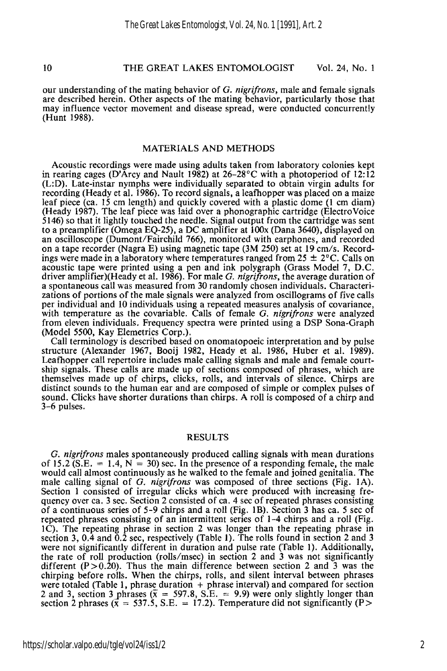#### 10 THE GREAT LAKES ENTOMOLOGIST Vol. 24, No. 1

our understanding of the mating behavior of G. *nigrijrons,* male and female signals are described herein. Other aspects of the mating behavior, particularly those that may influence vector movement and disease spread, were conducted concurrently (Hunt 1988).

#### MATERIALS AND METHODS

Acoustic recordings were made using adults taken from laboratory colonies kept in rearing cages (D'Arcy and Nault 1982) at 26-28°C with a photoperiod of 12:12 (L:D). Late-instar nymphs were individually separated to obtain virgin adults for recording (Heady et al. 1986). To record signals, a leafhopper was placed on a maize leaf piece (ca. 15 cm length) and quickly covered with a plastic dome (l cm diam) (Heady 1987). The leaf piece was laid over a phonographic cartridge (Electro Voice 5146) so that it lightly touched the needle. Signal output from the cartridge was sent to a preamplifier (Omega EQ-25), a DC amplifier at  $100x$  (Dana 3640), displayed on<br>an oscilloscope (Dumont/Fairchild 766), monitored with earphones, and recorded<br>on a tape recorder (Nagra E) using magnetic tape (3M 250) ings were made in a laboratory where temperatures ranged from  $25 \pm 2^{\circ}$ C. Calls on acoustic tape were printed using a pen and ink polygraph (Grass Model 7, D.C. driver amplifier)(Heady et al. 1986). For male *G. nigrifrons*, the average duration of a spontaneous call was measured from 30 randomly chosen individuals. Characterizations of portions of the male signals were analyzed from oscillograms of five calls per individual and 10 individuals using a repeated measures analysis of covariance, with temperature as the covariable. Calls of female G. *nigrijrons* were analyzed from eleven individuals. Frequency spectra were printed using a DSP Sona-Graph (Model 5500, Kay Elemetrics Corp.).

Call terminology is described based on onomatopoeic interpretation and by pulse structure (Alexander 1967, Booij 1982, Heady et al. 1986, Huber et al. 1989). Leafhopper call repertoire includes male calling signals and male and female court-<br>ship signals. These calls are made up of sections composed of phrases, which are themselves made up of chirps, clicks, rolls, and intervals of silence. Chirps are distinct sounds to the human ear and are composed of simple or complex pulses of sound. Clicks have shorter durations than chirps. A roll is composed of a chirp and 3-6 pulses.

#### RESULTS

G. *nigrijrons* males spontaneously produced calling signals with mean durations of 15.2 (S.E.  $= 1.4$ , N  $= 30$ ) sec. In the presence of a responding female, the male would call almost continuously as he walked to the female and joined genitalia. The male calling signal of G. *nigrijrons* was composed of three sections (Fig. lA). Section 1 consisted of irregular clicks which were produced with increasing frequency over ca. 3 sec. Section 2 consisted of ca. 4 sec of repeated phrases consisting of a continuous series of 5-9 chirps and a roll (Fig. IB). Section 3 has ca. 5 sec of repeated phrases consisting of an intermittent series of 1-4 chirps and a roll (Fig. IC). The repeating phrase in section 2 was longer than the repeating phrase in section 3, 0.4 and 0.2 sec, respectively (Table 1). The rolls found in section 2 and 3 were not significantly different in duration and pulse rate (Table 1). Additionally, the rate of roll production (rolls/msec) in section 2 and 3 was not significantly different  $(P > 0.20)$ . Thus the main difference between section 2 and 3 was the chirping before rolls. When the chirps, rolls, and silent interval between phrases chirping before rolls. When the chirps, rolls, and silent interval between phrases were totaled (Table 1, phrase duration <sup>+</sup>phrase interval) and compared for section 2 and 3, section 3 phrases ( $\bar{x}$  = 597.8, S.E. = 9.9) were only slightly longer than section 2 phrases  $(x = 537.5, S.E. = 17.2)$ . Temperature did not significantly (P >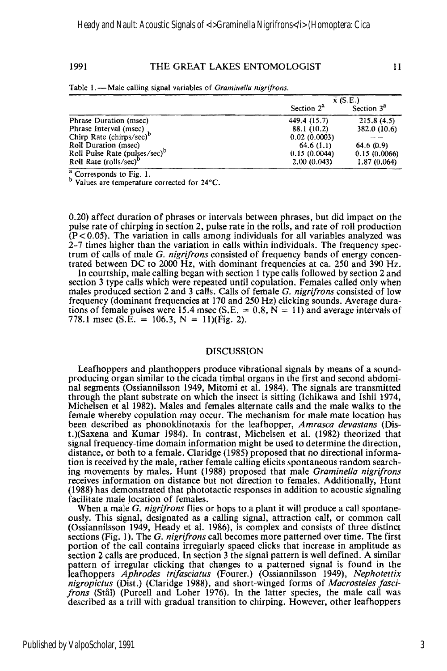#### 1991 THE GREAT LAKES ENTOMOLOGIST 11

Table 1. - Male calling signal variables of *Graminella nigrifrons*.

|                                           | $\bar{x}$ (S.E.) |                        |
|-------------------------------------------|------------------|------------------------|
|                                           | Section $2^a$    | Section 3 <sup>3</sup> |
| Phrase Duration (msec)                    | 449.4 (15.7)     | 215.8(4.5)             |
| Phrase Interval (msec)                    | 88.1 (10.2)      | 382.0 (10.6)           |
| Chirp Rate (chirps/sec) $\degree$         | 0.02(0.0003)     |                        |
| Roll Duration (msec)                      | 64.6(1.1)        | 64.6 (0.9)             |
| Roll Pulse Rate (pulses/sec) <sup>p</sup> | 0.15(0.0044)     | 0.15(0.0066)           |
| Roll Rate (rolls/sec)"                    | 2.00(0.043)      | 1.87(0.064)            |

 $\frac{a}{c}$  Corresponds to Fig. 1.

b Values are temperature corrected for 24°C.

0.20) affect duration of phrases or intervals between phrases, but did impact on the pulse rate of chirping in section 2, pulse rate in the rolls, and rate of roll production (P<0.05). The variation in calls among individuals for all variables analyzed was 2-7 times higher than the variation in calls within individuals. The frequency spectrum of calls of male *G. nigrifrons* consisted of frequency bands of energy concentrated between DC to 2000 Hz, with dominant frequencies at ca. 250 and 390 Hz.

In courtship, male calling began with section 1 type calls followed by section 2 and section 3 type calls which were repeated until copulation. Females called only when males produced section 2 and 3 calls. Calls of female G. *nigrijrons* consisted of low frequency (dominant frequencies at 170 and 250 Hz) clicking sounds. Average durations of female pulses were 15.4 msec (S.E. =  $0.8$ , N = 11) and average intervals of 778.1 msec (S.E. = 106.3, N = 11)(Fig. 2).

#### DISCUSSION

Leafhoppers and planthoppers produce vibrational signals by means of a soundproducing organ similar to the cicada timbal organs in the first and second abdominal segments (Ossiannilsson 1949, Mitomi et al. 1984). The signals are transmitted through the plant substrate on which the insect is sitting (Ichikawa and Ishii 1974, Michelsen et al 1982). Males and females alternate calls and the male walks to the female whereby copulation may occur. The mechanism for male mate location has been described as phonoklinotaxis for the leafhopper, *Amrasca devastans* (Dist.)(Saxena and Kumar 1984). In contrast, Michelsen et al. (1982) theorized that signal frequency-time domain information might be used to determine the direction, distance, or both to a female. Claridge (1985) proposed that no directional information is received by the male, rather female calling elicits spontaneous random searching movements by males. Hunt (1988) proposed that male *Graminella nigrijrons*  receives information on distance but not direction to females. Additionally, Hunt (1988) has demonstrated that phototactic responses in addition to acoustic signaling facilitate male location of females.

When a male G. *nigrijrons* flies or hops to a plant it will produce a call spontaneously. This signal, designated as a calling signal, attraction call, or common call (Ossiannilsson 1949, Heady et al. 1986), is complex and consists of three distinct sections (Fig. 1). The *G. nigrifrons* call becomes more patterned over time. The first portion of the call contains irregularly spaced clicks that increase in amplitude as section 2 calls are produced. In section 3 the signal pattern is well defined. A similar pattern of irregular clicking that changes to a patterned signal is found in the leafhoppers *Aphrodes trijasciatus* (Fourer.) (Ossiannilsson 1949), *Nephotettix nigropictus* (Dist.) (Claridge 1988), and short-winged forms of *Macrosteles fascifrons* (Stal) (Purcell and Loher 1976). In the latter species, the male call was described as a trill with gradual transition to chirping. However, other leafhoppers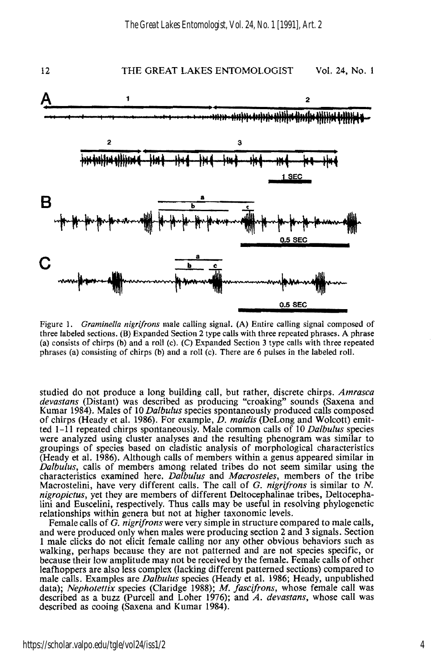

Figure 1. *Graminella nigrifrons* male calling signal. (A) Entire calling signal composed of three labeled sections. (B) Expanded Section 2 type calls with three repeated phrases. A phrase (a) consists of chirps (b) and a roll (c). (C) Expanded Section 3 type calls with three repeated phrases (a) consisting of chirps (b) and a roll (c). There are 6 pulses in the labeled roll.

studied do not produce a long building call, but rather, discrete chirps. *Amrasca devastans* (Distant) was described as producing "croaking" sounds (Saxena and Kumar 1984). Males of 10 *Dalbulus* species spontaneously produced calls composed of chirps (Heady et al. 1986). For example, *D. maidis* (DeLong and Wolcott) emitted 1-11 repeated chirps spontaneously. Male common calls of 10 *Dalbulus* species were analyzed using cluster analyses and the resulting phenogram was similar to groupings of species based on cladistic analysis of morphological characteristics (Heady et al. 1986). Although calls of members within a genus appeared similar in *Dalbulus,* calls of members among related tribes do not seem similar using the characteristics examined here. *Dalbulus* and *Macrosteles,* members of the tribe Macrostelini, have very different calls. The call of G. *nigrifrons* is similar to *N. nigropictus,* yet they are members of different Deitocephalinae tribes, Deltocephalini and Euscelini, respectively. Thus calls may be useful in resolving phylogenetic relationships within genera but not at higher taxonomic levels.

Female calls of G. *nigrifrons* were very simple in structure compared to male calls, and were produced only when males were producing section 2 and 3 signals. Section I male clicks do not elicit female calling nor any other obvious behaviors such as walking, perhaps because they are not patterned and are not species specific, or because their low amplitude may not be received by the fem leafhoppers are also less complex (lacking different patterned sections) compared to male calls. Examples are *Dalbulus* species (Heady et al. 1986; Heady, unpublished described as a buzz (Purcell and Loher 1976); and  $A$ . *devastans*, whose call was described as cooing (Saxena and Kumar 1984).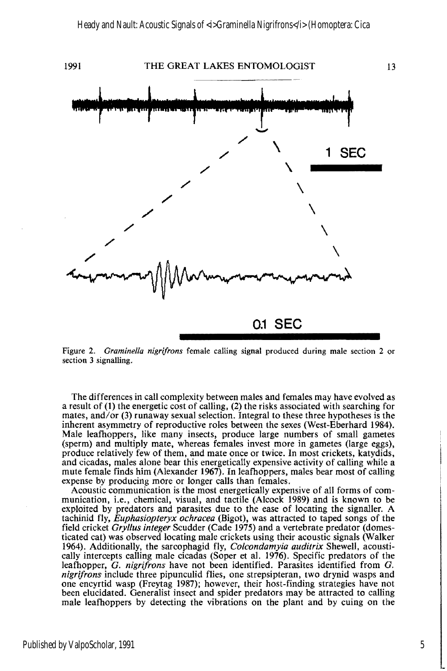

Figure 2. *Graminella nigrifrons* female calling signal produced during male section 2 or section 3 signalling.

The differences in call complexity between males and females may have evolved as a result of (1) the energetic cost of calling, (2) the risks associated with searching for mates, and/or (3) runaway sexual selection. Integral to these three hypotheses is the inherent asymmetry of reproductive roles between the sexes (West-Eberhard 1984). Male leafhoppers, like many insects, produce large numbers of small gametes (sperm) and multiply mate, whereas females invest more in gametes (large eggs), produce relatively few of them, and mate once or twice. In most crickets, katydids, and cicadas, males alone bear this energetically expensive activity of calling while a mute female finds him (Alexander 1967). In leafhoppers, males bear most of calling expense by producing more or longer calls than females.

Acoustic communication is the most energetically expensive of all forms of communication, i.e., chemical, visual, and tactile (Alcock 1989) and is known to be exploited by predators and parasites due to the ease of locating the signaller. A tachinid fly, *Euphasiopteryx ochracea* (Bigot), was attracted to taped songs of the field cricket *Gryl/us integer* Scudder (Cade 1975) and a vertebrate predator (domesticated cat) was observed locating male crickets using their acoustic signals (Walker 1964). Additionally, the sarcophagid fly, *Co/condamyia auditrix* Shewell, acoustically intercepts calling male cicadas (Soper et al. 1976). Specific predators of the leafhopper, G. *nigrifrons* have not been identified. Parasites identified from G. *nigrifrons* include three pipunculid flies, one strepsipteran, two drynid wasps and one encyrtid wasp (Freytag 1987); however, their host-finding strategies have not been elucidated. Generalist insect and spider predators may be attracted to calling male leafhoppers by detecting the vibrations on the plant and by cuing on the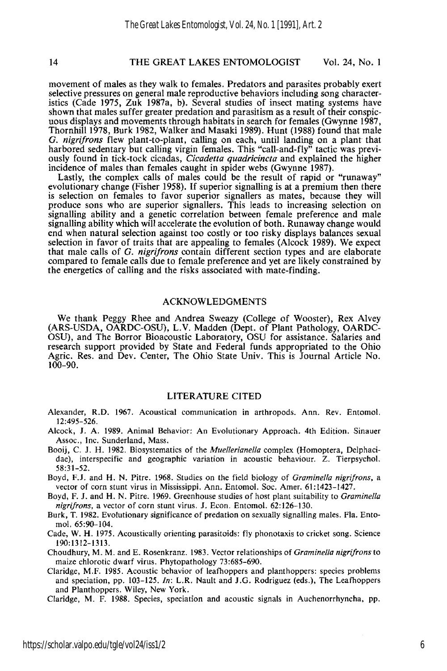#### 14 THE GREAT LAKES ENTOMOLOGIST Vol. 24, No. 1

movement of males as they walk to females. Predators and parasites probably exert selective pressures on general male reproductive behaviors including song characteristics (Cade 1975, Zuk 1987a, b). Several studies of insect mating systems have shown that males suffer greater predation and parasitism as a result of their conspicuous displays and movements through habitats in search for females (Gwynne 1987, Thornhill 1978, Burk 1982, Walker and Masaki 1989). Hunt (1988) found that male G. *nigrifrons* flew plant-to-plant, calling on each, until landing on a plant that harbored sedentary but calling virgin females. This "call-and-fly" tactic was previously found in tick-tock cicadas, *Cicadetta quadricincta* and explained the higher incidence of males than females caught in spider webs (Gwynne 1987).

Lastly, the complex calls of males could be the result of rapid or "runaway" evolutionary change (Fisher 1958). If superior signalling is at a premium then there is selection on females to favor superior signallers as mates, because they will produce sons who are superior signallers. This leads to increasing selection on signalling ability and a genetic correlation between female preference and male signalling ability which will accelerate the evolution of both. Runaway change would end when natural selection against too costly or too risky displays balances sexual selection in favor of traits that are appealing to females (Alcock 1989). We expect that male calls of G. *nigrifrons* contain different section types and are elaborate compared to female calls due to female preference and yet are likely constrained by the energetics of calling and the risks associated with mate-finding.

#### ACKNOWLEDGMENTS

We thank Peggy Rhee and Andrea Sweazy (College of Wooster), Rex Alvey (ARS-USDA, OARDC-OSU), L.V. Madden (Dept. of Plant Pathology, OARDC-OSU), and The Borror Bioacoustic Laboratory, OSU for assistance. Salaries and research support provided by State and Federal funds appropriated to the Ohio Agric. Res. and Dev. Center, The Ohio State Univ. This is Journal Article No. 100-90.

#### LITERATURE CITED

- Alexander, R.D. 1967. Acoustical communication in arthropods. Ann. Rev. Entomol. 12:495-526.
- Alcock, J. A. 1989. Animal Behavior: An Evolutionary Approach. 4th Edition. Sinauer Assoc., Inc. Sunderland, Mass.
- Booij, C. 1. H. 1982. Biosystematics of the *Muel/erianel/a* complex (Homoptera, Delphacidae), interspecific and geographic variation in acoustic behaviour. Z. Tierpsychol. 58:31-52.
- Boyd, F.l. and H. N. Pitre. 1968. Studies on the field biology of *Graminella nigrifrons,* a vector of corn stunt virus in Mississippi. Ann. Entomol. Soc. Amer. 61:1423-1427.
- Boyd, F. 1. and H. N. Pitre. 1969. Greenhouse studies of host plant suitability to *Graminel/a nigri/rons,* a vector of corn stunt virus. 1. Econ. Entomol. 62:126-130.
- Burk, T. 1982. Evolutionary significance of predation on sexually signalling males. Fla. Entomol. 65:90-104.
- Cade, W. H. 1975. Acoustically orienting parasitoids: fly phonotaxis to cricket song. Science 190:1312-1313.
- Choudhury, M. M. and E. Rosenkranz. 1983. Vector relationships of *Graminella nigrifrons* to maize chlorotic dwarf virus. Phytopathology 73:685-690.
- Claridge, M.F. 1985. Acoustic behavior of leafhoppers and planthoppers: species problems and speciation, pp. 103-125. *In:* LR. Nault and 1.G. Rodriguez (eds.), The Leafhoppers and Planthoppers. Wiley, New York.

Claridge, M. F. 1988. Species, speciation and acoustic signals in Auchenorrhyncha, pp.

6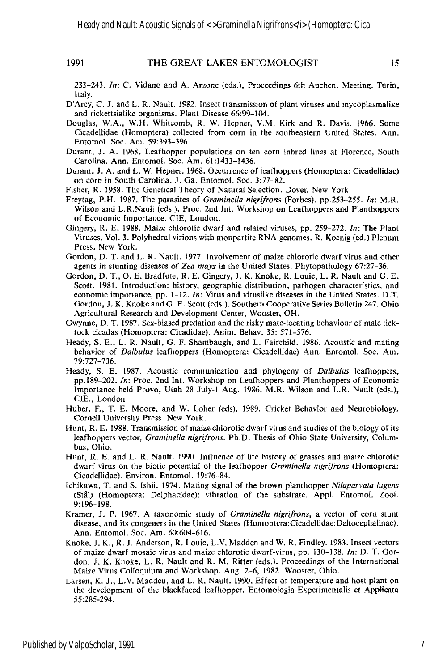*233-243. In:* C. Vidano and A. Arzone (eds.), Proceedings 6th Auchen. Meeting. Turin, Italy.

- D'Arcy, C. J. and L. R. Nault. 1982. Insect transmission of plant viruses and mycoplasmalike and rickettsialike organisms. Plant Disease 66:99-104.
- Douglas, W.A., W.H. Whitcomb, R. W. Hepner, V.M. Kirk and R. Davis. 1966. Some Cicadellidae (Homoptera) collected from corn in the southeastern United States. Ann. Entomol. Soc. Am. 59:393-396.
- Durant, J. A. 1%8. Leafhopper populations on ten corn inbred lines at Florence, South Carolina. Ann. Entomol. Soc. Am. 61:1433-1436.
- Durant, J. A. and L. W. Hepner. 1968. Occurrence of leafhoppers (Homoptera: Cicadellidae) on corn in South Carolina. J. Ga. Entomol. Soc. 3:77-82.
- Fisher, R. 1958. The Genetical Theory of Natural Selection. Dover. New York.
- Freytag, P.H. 1987. The parasites of *Graminella nigrifrons* (Forbes). pp.253-255. *In:* M.R. Wilson and L.R.Nault (eds.), Proc. 2nd Int. Workshop on Leafhoppers and Planthoppers of Economic Importance. CIE, London.
- Gingery, R. E. 1988. Maize chlorotic dwarf and related viruses, pp. 259-272. *In:* The Plant Viruses. Vol. 3. Polyhedral virions with monpartite RNA genomes. R. Koenig (ed.) Plenum Press. New York.
- Gordon, D. T. and L. R. Nault. 1977. Involvement of maize chlorotic dwarf virus and other agents in stunting diseases of *Zea mays* in the United States. Phytopathology 67:27-36.
- Gordon, D. T., O. E. Bradfute, R. E. Gingery, J. K. Knoke, R. Louie, L. R. Nault and G. E. Scott. 1981. Introduction: history, geographic distribution, pathogen characteristics, and economic importance, pp. 1-12. *In:* Virus and viruslike diseases in the United States. D.T. Gordon, J. K. Knoke and G. E. Scott (eds.). Southern Cooperative Series Bulletin 247. Ohio Agricultural Research and Development Center, Wooster, OH.
- Gwynne, D. T. 1987. Sex-biased predation and the risky mate-locating behaviour of male ticktock cicadas (Homoptera: Cicadidae). Anim. Behav. 35: 571-576.
- Heady, S. E., L. R. Nault, G. F. Shambaugh, and L. Fairchild. 1986. Acoustic and mating behavior of *Dalbulus* leafhoppers (Homoptera: Cicadellidae) Ann. Entomol. Soc. Am. 79:727-736.
- Heady, S. E. 1987. Acoustic communication and phylogeny of *Dalbulus* leafhoppers, pp.189-202. *In:* Proc. 2nd Int. Workshop on Leafhoppers and Planthoppers of Economic Importance held Provo, Utah 28 July-I Aug. 1986. M.R. Wilson and L.R. Nault (eds.), ClE., London
- Huber, F., T. E. Moore, and W. Loher (eds). 1989. Cricket Behavior and Neurobiology. Cornell University Press. New York.
- Hunt, R. E. 1988. Transmission of maize chlorotic dwarf virus and studies of the biology of its leafhoppers vector, *Graminella nigrifrons.* Ph.D. Thesis of Ohio State University, Columbus, Ohio.
- Hunt, R. E. and L. R. Nault. 1990. Influence of life history of grasses and maize chlorotic dwarf virus on the biotic potential of the leafhopper *Graminella nigrifrons* (Homoptera: CicadeIlidae). Environ. Entomol. 19:76-84.
- Ichikawa, T. and S. Ishii. 1974. Mating signal of the brown planthopper *Nilaparvata lugens* (Still) (Homoptera: Delphacidae): vibration of the substrate. Appl. Enlomol. Zool. 9:196-198.
- Kramer, J. P. 1967. A taxonomic study of *Graminella nigrifrons,* a vector of corn stunt disease, and its congeners in the United States (Homoptera:Cicadellidae:Deltocephalinae). Ann. Entomol. Soc. Am. 60:604-616.
- Knoke, J. K., R. J. Anderson, R. Louie, L.V. Madden and W. R. Findley. 1983. Insect vectors of maize dwarf mosaic virus and maize chlorotic dwarf-virus, pp. 130-l38. *In:* D. T. Gordon, J. K. Knoke, L. R. Nault and R. M. Ritter (eds.). Proceedings of the International Maize Virus Colloquium and Workshop. Aug. 2-6, 1982. Wooster, Ohio.
- Larsen, K. J., L.V. Madden, and L. R. Nault. 1990. Effect of temperature and host plant on the development of the black faced leafhopper. Entomologia Experimentalis et Applicata 55:285-294.